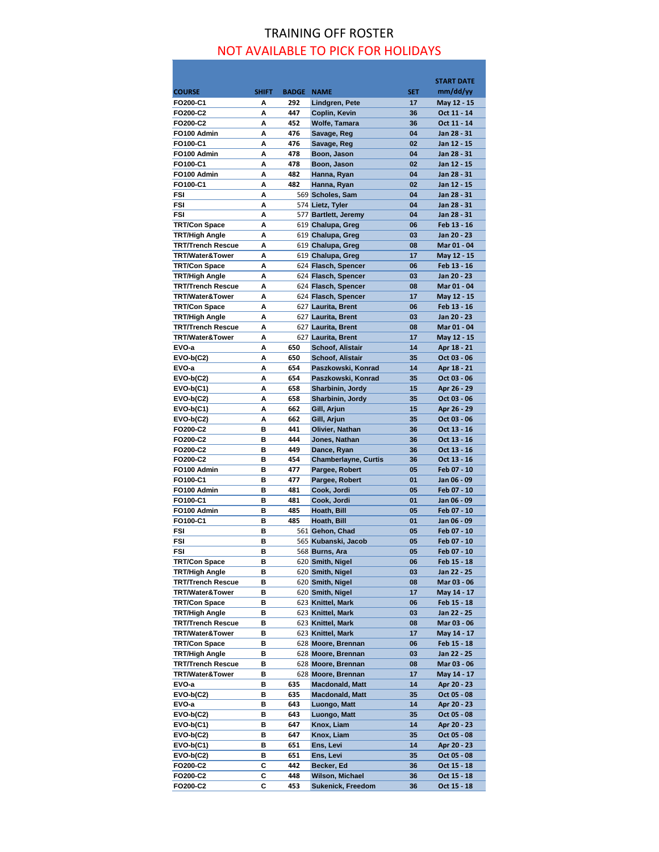## TRAINING OFF ROSTER NOT AVAILABLE TO PICK FOR HOLIDAYS

|                                         |              |                   |                                           |                  | <b>START DATE</b>          |
|-----------------------------------------|--------------|-------------------|-------------------------------------------|------------------|----------------------------|
| <b>COURSE</b>                           | <b>SHIFT</b> | <b>BADGE NAME</b> | Lindgren, Pete                            | <b>SET</b><br>17 | mm/dd/yy                   |
| FO200-C1<br>FO200-C2                    | Α<br>А       | 292<br>447        | Coplin, Kevin                             | 36               | May 12 - 15<br>Oct 11 - 14 |
| FO200-C2                                | Α            | 452               | <b>Wolfe, Tamara</b>                      | 36               | Oct 11 - 14                |
| FO100 Admin                             | A            | 476               | Savage, Reg                               | 04               | Jan 28 - 31                |
| FO100-C1                                | A            | 476               | Savage, Reg                               | 02               | Jan 12 - 15                |
| FO100 Admin                             | Α            | 478               | Boon, Jason                               | 04               | Jan 28 - 31                |
| FO100-C1                                | A            | 478               | Boon, Jason                               | 02               | Jan 12 - 15                |
| FO100 Admin                             | Α            | 482               | Hanna, Ryan                               | 04               | Jan 28 - 31                |
| FO100-C1                                | A            | 482               | Hanna, Ryan                               | 02               | Jan 12 - 15                |
| <b>FSI</b>                              | A            |                   | 569 Scholes, Sam                          | 04               | Jan 28 - 31                |
| <b>FSI</b>                              | A            |                   | 574 Lietz, Tyler                          | 04               | Jan 28 - 31                |
| <b>FSI</b><br><b>TRT/Con Space</b>      | A<br>Α       |                   | 577 Bartlett, Jeremy<br>619 Chalupa, Greg | 04<br>06         | Jan 28 - 31<br>Feb 13 - 16 |
| <b>TRT/High Angle</b>                   | A            |                   | 619 Chalupa, Greg                         | 03               | Jan 20 - 23                |
| <b>TRT/Trench Rescue</b>                | А            |                   | 619 Chalupa, Greg                         | 08               | Mar 01 - 04                |
| TRT/Water&Tower                         | A            |                   | 619 Chalupa, Greg                         | 17               | May 12 - 15                |
| <b>TRT/Con Space</b>                    | A            |                   | 624 Flasch, Spencer                       | 06               | Feb 13 - 16                |
| <b>TRT/High Angle</b>                   | А            |                   | 624 Flasch, Spencer                       | 03               | Jan 20 - 23                |
| <b>TRT/Trench Rescue</b>                | А            |                   | 624 Flasch, Spencer                       | 08               | Mar 01 - 04                |
| <b>TRT/Water&amp;Tower</b>              | Α            |                   | 624 Flasch, Spencer                       | 17               | May 12 - 15                |
| <b>TRT/Con Space</b>                    | A            |                   | 627 Laurita, Brent                        | 06               | Feb 13 - 16                |
| <b>TRT/High Angle</b>                   | Α            |                   | 627 Laurita, Brent                        | 03               | Jan 20 - 23                |
| <b>TRT/Trench Rescue</b>                | Α            |                   | 627 Laurita, Brent                        | 08               | Mar 01 - 04                |
| <b>TRT/Water&amp;Tower</b>              | A            |                   | 627 Laurita, Brent                        | 17               | May 12 - 15                |
| EVO-a<br>$EVO-b(C2)$                    | Α<br>A       | 650               | <b>Schoof, Alistair</b>                   | 14               | Apr 18 - 21                |
| EVO-a                                   | A            | 650<br>654        | Schoof, Alistair<br>Paszkowski, Konrad    | 35<br>14         | Oct 03 - 06<br>Apr 18 - 21 |
| $EVO-b(C2)$                             | A            | 654               | Paszkowski, Konrad                        | 35               | Oct 03 - 06                |
| $EVO-b(C1)$                             | A            | 658               | Sharbinin, Jordy                          | 15               | Apr 26 - 29                |
| $EVO-b(C2)$                             | A            | 658               | Sharbinin, Jordy                          | 35               | Oct 03 - 06                |
| $EVO-b(C1)$                             | Α            | 662               | Gill, Arjun                               | 15               | Apr 26 - 29                |
| $EVO-b(C2)$                             | Α            | 662               | Gill, Arjun                               | 35               | Oct 03 - 06                |
| FO200-C2                                | в            | 441               | Olivier, Nathan                           | 36               | Oct 13 - 16                |
| FO200-C2                                | в            | 444               | Jones, Nathan                             | 36               | Oct 13 - 16                |
| FO200-C2                                | в            | 449               | Dance, Ryan                               | 36               | Oct 13 - 16                |
| FO200-C2                                | в            | 454               | <b>Chamberlayne, Curtis</b>               | 36               | Oct 13 - 16                |
| FO100 Admin                             | в            | 477               | Pargee, Robert                            | 05               | Feb 07 - 10                |
| FO100-C1                                | в            | 477               | Pargee, Robert                            | 01               | Jan 06 - 09                |
| FO100 Admin<br>FO100-C1                 | в<br>B       | 481<br>481        | Cook, Jordi<br>Cook, Jordi                | 05<br>01         | Feb 07 - 10<br>Jan 06 - 09 |
| FO100 Admin                             | в            | 485               | Hoath, Bill                               | 05               | Feb 07 - 10                |
| FO100-C1                                | в            | 485               | Hoath, Bill                               | 01               | Jan 06 - 09                |
| <b>FSI</b>                              | в            |                   | 561 Gehon, Chad                           | 05               | Feb 07 - 10                |
| FSI                                     | в            |                   | 565 Kubanski, Jacob                       | 05               | Feb 07 - 10                |
| <b>FSI</b>                              | B            |                   | 568 Burns, Ara                            | 05               | Feb 07 - 10                |
| <b>TRT/Con Space</b>                    | в            |                   | 620 Smith, Nigel                          | 06               | Feb 15 - 18                |
| <b>TRT/High Angle</b>                   | в            |                   | 620 Smith, Nigel                          | 03               | Jan 22 - 25                |
| <b>TRT/Trench Rescue</b>                | в            |                   | 620 Smith, Nigel                          | 08               | Mar 03 - 06                |
| TRT/Water&Tower                         | в            |                   | 620 Smith, Nigel                          | 17               | May 14 - 17                |
| <b>TRT/Con Space</b>                    | в            |                   | 623 Knittel, Mark                         | 06               | Feb 15 - 18                |
| <b>TRT/High Angle</b>                   | в            |                   | 623 Knittel, Mark                         | 03               | Jan 22 - 25                |
| <b>TRT/Trench Rescue</b>                | в            |                   | 623 Knittel, Mark                         | 08               | Mar 03 - 06                |
| TRT/Water&Tower<br><b>TRT/Con Space</b> | в<br>в       |                   | 623 Knittel, Mark<br>628 Moore, Brennan   | 17<br>06         | May 14 - 17<br>Feb 15 - 18 |
| <b>TRT/High Angle</b>                   | в            |                   | 628 Moore, Brennan                        | 03               | Jan 22 - 25                |
| <b>TRT/Trench Rescue</b>                | в            |                   | 628 Moore, Brennan                        | 08               | Mar 03 - 06                |
| TRT/Water&Tower                         | в            |                   | 628 Moore, Brennan                        | 17               | May 14 - 17                |
| EVO-a                                   | в            | 635               | <b>Macdonald, Matt</b>                    | 14               | Apr 20 - 23                |
| $EVO-b(C2)$                             | в            | 635               | <b>Macdonald, Matt</b>                    | 35               | Oct 05 - 08                |
| EVO-a                                   | в            | 643               | Luongo, Matt                              | 14               | Apr 20 - 23                |
| $EVO-b(C2)$                             | в            | 643               | Luongo, Matt                              | 35               | Oct 05 - 08                |
| $EVO-b(C1)$                             | в            | 647               | Knox, Liam                                | 14               | Apr 20 - 23                |
| $EVO-b(C2)$                             | в            | 647               | Knox, Liam                                | 35               | Oct 05 - 08                |
| $EVO-b(C1)$                             | в            | 651               | Ens, Levi                                 | 14               | Apr 20 - 23                |
| $EVO-b(C2)$                             | в            | 651               | Ens, Levi                                 | 35               | Oct 05 - 08                |
| FO200-C2<br>FO200-C2                    | C<br>C       | 442<br>448        | Becker, Ed<br>Wilson, Michael             | 36<br>36         | Oct 15 - 18<br>Oct 15 - 18 |
| FO200-C2                                | C            | 453               | Sukenick, Freedom                         | 36               | Oct 15 - 18                |
|                                         |              |                   |                                           |                  |                            |